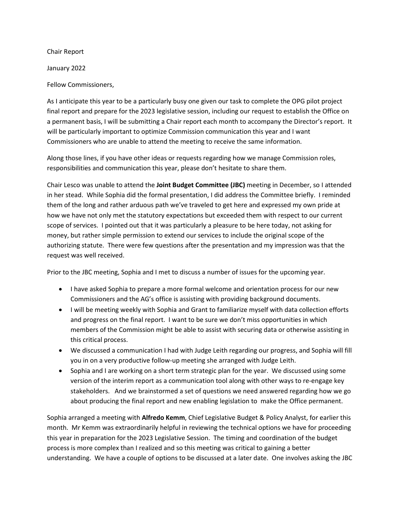Chair Report

January 2022

Fellow Commissioners,

As I anticipate this year to be a particularly busy one given our task to complete the OPG pilot project final report and prepare for the 2023 legislative session, including our request to establish the Office on a permanent basis, I will be submitting a Chair report each month to accompany the Director's report. It will be particularly important to optimize Commission communication this year and I want Commissioners who are unable to attend the meeting to receive the same information.

Along those lines, if you have other ideas or requests regarding how we manage Commission roles, responsibilities and communication this year, please don't hesitate to share them.

Chair Lesco was unable to attend the **Joint Budget Committee (JBC)** meeting in December, so I attended in her stead. While Sophia did the formal presentation, I did address the Committee briefly. I reminded them of the long and rather arduous path we've traveled to get here and expressed my own pride at how we have not only met the statutory expectations but exceeded them with respect to our current scope of services. I pointed out that it was particularly a pleasure to be here today, not asking for money, but rather simple permission to extend our services to include the original scope of the authorizing statute. There were few questions after the presentation and my impression was that the request was well received.

Prior to the JBC meeting, Sophia and I met to discuss a number of issues for the upcoming year.

- I have asked Sophia to prepare a more formal welcome and orientation process for our new Commissioners and the AG's office is assisting with providing background documents.
- I will be meeting weekly with Sophia and Grant to familiarize myself with data collection efforts and progress on the final report. I want to be sure we don't miss opportunities in which members of the Commission might be able to assist with securing data or otherwise assisting in this critical process.
- We discussed a communication I had with Judge Leith regarding our progress, and Sophia will fill you in on a very productive follow-up meeting she arranged with Judge Leith.
- Sophia and I are working on a short term strategic plan for the year. We discussed using some version of the interim report as a communication tool along with other ways to re-engage key stakeholders. And we brainstormed a set of questions we need answered regarding how we go about producing the final report and new enabling legislation to make the Office permanent.

Sophia arranged a meeting with **Alfredo Kemm**, Chief Legislative Budget & Policy Analyst, for earlier this month. Mr Kemm was extraordinarily helpful in reviewing the technical options we have for proceeding this year in preparation for the 2023 Legislative Session. The timing and coordination of the budget process is more complex than I realized and so this meeting was critical to gaining a better understanding. We have a couple of options to be discussed at a later date. One involves asking the JBC